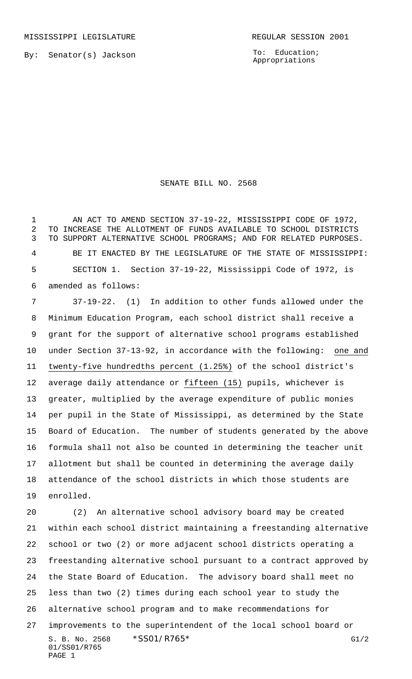To: Education; Appropriations

## SENATE BILL NO. 2568

 AN ACT TO AMEND SECTION 37-19-22, MISSISSIPPI CODE OF 1972, TO INCREASE THE ALLOTMENT OF FUNDS AVAILABLE TO SCHOOL DISTRICTS TO SUPPORT ALTERNATIVE SCHOOL PROGRAMS; AND FOR RELATED PURPOSES. BE IT ENACTED BY THE LEGISLATURE OF THE STATE OF MISSISSIPPI: SECTION 1. Section 37-19-22, Mississippi Code of 1972, is amended as follows:

 37-19-22. (1) In addition to other funds allowed under the Minimum Education Program, each school district shall receive a grant for the support of alternative school programs established under Section 37-13-92, in accordance with the following: one and twenty-five hundredths percent (1.25%) of the school district's 12 average daily attendance or fifteen (15) pupils, whichever is greater, multiplied by the average expenditure of public monies per pupil in the State of Mississippi, as determined by the State Board of Education. The number of students generated by the above formula shall not also be counted in determining the teacher unit allotment but shall be counted in determining the average daily attendance of the school districts in which those students are enrolled.

S. B. No. 2568 \* SSO1/R765\* G1/2 01/SS01/R765 PAGE 1 (2) An alternative school advisory board may be created within each school district maintaining a freestanding alternative school or two (2) or more adjacent school districts operating a freestanding alternative school pursuant to a contract approved by the State Board of Education. The advisory board shall meet no less than two (2) times during each school year to study the alternative school program and to make recommendations for improvements to the superintendent of the local school board or